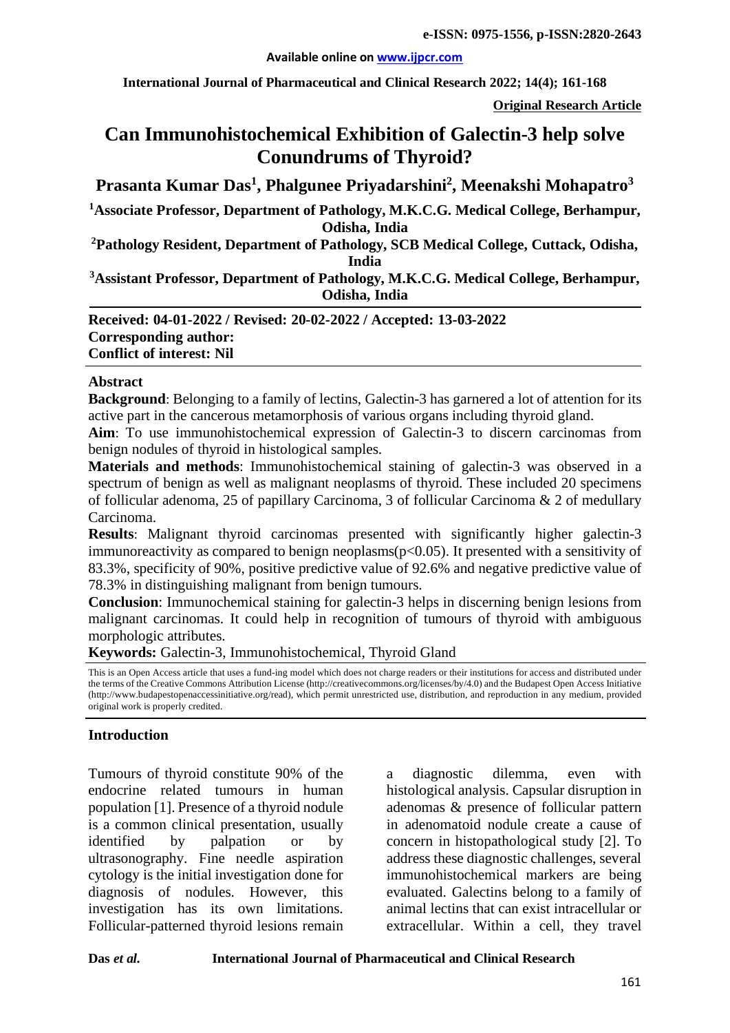#### **Available online on [www.ijpcr.com](http://www.ijpcr.com/)**

**International Journal of Pharmaceutical and Clinical Research 2022; 14(4); 161-168**

**Original Research Article**

# **Can Immunohistochemical Exhibition of Galectin-3 help solve Conundrums of Thyroid?**

**Prasanta Kumar Das1 , Phalgunee Priyadarshini2 , Meenakshi Mohapatro3**

**1 Associate Professor, Department of Pathology, M.K.C.G. Medical College, Berhampur, Odisha, India**

**2 Pathology Resident, Department of Pathology, SCB Medical College, Cuttack, Odisha, India**

**3 Assistant Professor, Department of Pathology, M.K.C.G. Medical College, Berhampur, Odisha, India**

**Received: 04-01-2022 / Revised: 20-02-2022 / Accepted: 13-03-2022 Corresponding author: Conflict of interest: Nil**

#### **Abstract**

**Background**: Belonging to a family of lectins, Galectin-3 has garnered a lot of attention for its active part in the cancerous metamorphosis of various organs including thyroid gland.

**Aim**: To use immunohistochemical expression of Galectin-3 to discern carcinomas from benign nodules of thyroid in histological samples.

**Materials and methods**: Immunohistochemical staining of galectin-3 was observed in a spectrum of benign as well as malignant neoplasms of thyroid. These included 20 specimens of follicular adenoma, 25 of papillary Carcinoma, 3 of follicular Carcinoma & 2 of medullary Carcinoma.

**Results**: Malignant thyroid carcinomas presented with significantly higher galectin-3 immunoreactivity as compared to benign neoplasms( $p<0.05$ ). It presented with a sensitivity of 83.3%, specificity of 90%, positive predictive value of 92.6% and negative predictive value of 78.3% in distinguishing malignant from benign tumours.

**Conclusion**: Immunochemical staining for galectin-3 helps in discerning benign lesions from malignant carcinomas. It could help in recognition of tumours of thyroid with ambiguous morphologic attributes.

**Keywords:** Galectin-3, Immunohistochemical, Thyroid Gland

This is an Open Access article that uses a fund-ing model which does not charge readers or their institutions for access and distributed under the terms of the Creative Commons Attribution License (http://creativecommons.org/licenses/by/4.0) and the Budapest Open Access Initiative (http://www.budapestopenaccessinitiative.org/read), which permit unrestricted use, distribution, and reproduction in any medium, provided original work is properly credited.

# **Introduction**

Tumours of thyroid constitute 90% of the endocrine related tumours in human population [1]. Presence of a thyroid nodule is a common clinical presentation, usually identified by palpation or by ultrasonography. Fine needle aspiration cytology is the initial investigation done for diagnosis of nodules. However, this investigation has its own limitations. Follicular-patterned thyroid lesions remain a diagnostic dilemma, even with histological analysis. Capsular disruption in adenomas & presence of follicular pattern in adenomatoid nodule create a cause of concern in histopathological study [2]. To address these diagnostic challenges, several immunohistochemical markers are being evaluated. Galectins belong to a family of animal lectins that can exist intracellular or extracellular. Within a cell, they travel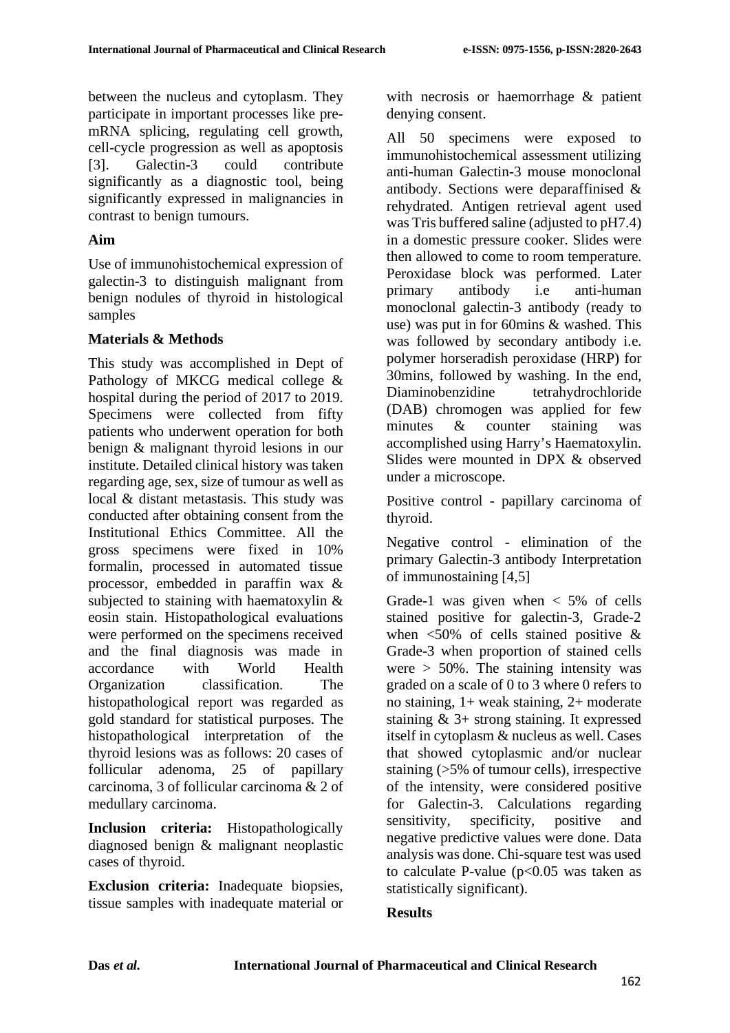between the nucleus and cytoplasm. They participate in important processes like premRNA splicing, regulating cell growth, cell-cycle progression as well as apoptosis [3]. Galectin-3 could contribute significantly as a diagnostic tool, being significantly expressed in malignancies in contrast to benign tumours.

## **Aim**

Use of immunohistochemical expression of galectin-3 to distinguish malignant from benign nodules of thyroid in histological samples

# **Materials & Methods**

This study was accomplished in Dept of Pathology of MKCG medical college & hospital during the period of 2017 to 2019. Specimens were collected from fifty patients who underwent operation for both benign & malignant thyroid lesions in our institute. Detailed clinical history was taken regarding age, sex, size of tumour as well as local & distant metastasis. This study was conducted after obtaining consent from the Institutional Ethics Committee. All the gross specimens were fixed in 10% formalin, processed in automated tissue processor, embedded in paraffin wax & subjected to staining with haematoxylin & eosin stain. Histopathological evaluations were performed on the specimens received and the final diagnosis was made in accordance with World Health Organization classification. The histopathological report was regarded as gold standard for statistical purposes. The histopathological interpretation of the thyroid lesions was as follows: 20 cases of follicular adenoma, 25 of papillary carcinoma, 3 of follicular carcinoma & 2 of medullary carcinoma.

**Inclusion criteria:** Histopathologically diagnosed benign & malignant neoplastic cases of thyroid.

**Exclusion criteria:** Inadequate biopsies, tissue samples with inadequate material or with necrosis or haemorrhage & patient denying consent.

All 50 specimens were exposed to immunohistochemical assessment utilizing anti-human Galectin-3 mouse monoclonal antibody. Sections were deparaffinised & rehydrated. Antigen retrieval agent used was Tris buffered saline (adjusted to pH7.4) in a domestic pressure cooker. Slides were then allowed to come to room temperature. Peroxidase block was performed. Later primary antibody i.e anti-human monoclonal galectin-3 antibody (ready to use) was put in for 60mins & washed. This was followed by secondary antibody i.e. polymer horseradish peroxidase (HRP) for 30mins, followed by washing. In the end, Diaminobenzidine tetrahydrochloride (DAB) chromogen was applied for few minutes & counter staining was accomplished using Harry's Haematoxylin. Slides were mounted in DPX & observed under a microscope.

Positive control - papillary carcinoma of thyroid.

Negative control - elimination of the primary Galectin-3 antibody Interpretation of immunostaining [4,5]

Grade-1 was given when  $\langle 5\% \rangle$  of cells stained positive for galectin-3, Grade-2 when  $\langle 50\%$  of cells stained positive & Grade-3 when proportion of stained cells were  $> 50\%$ . The staining intensity was graded on a scale of 0 to 3 where 0 refers to no staining, 1+ weak staining, 2+ moderate staining  $& 3+$  strong staining. It expressed itself in cytoplasm & nucleus as well. Cases that showed cytoplasmic and/or nuclear staining (>5% of tumour cells), irrespective of the intensity, were considered positive for Galectin-3. Calculations regarding sensitivity, specificity, positive and negative predictive values were done. Data analysis was done. Chi-square test was used to calculate P-value  $(p<0.05$  was taken as statistically significant).

### **Results**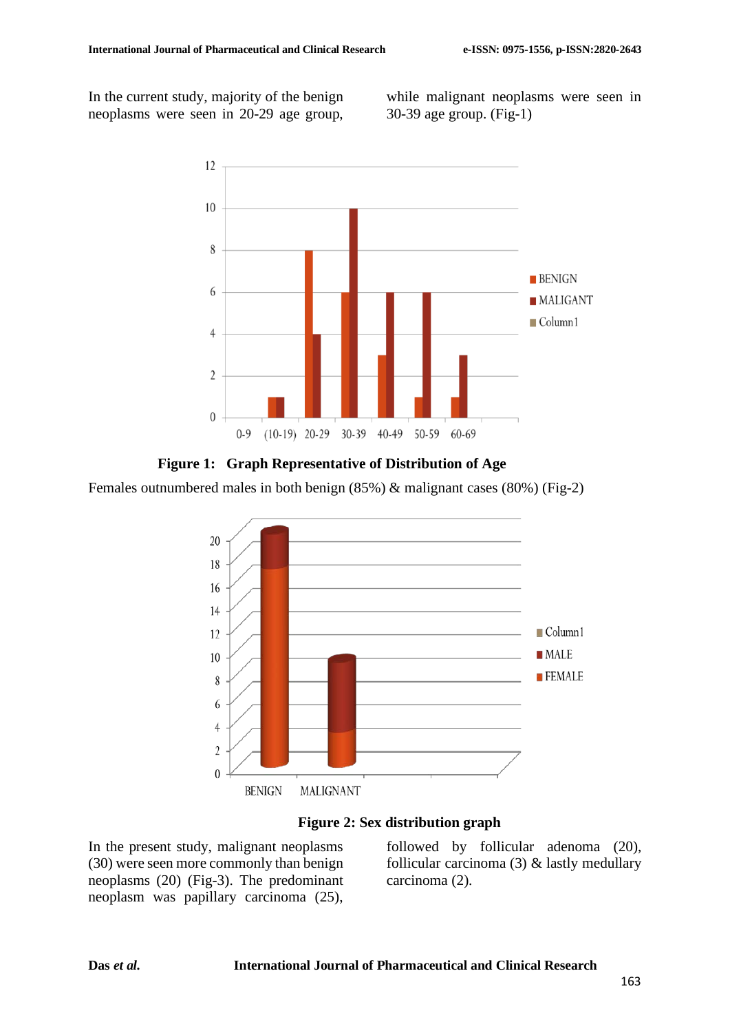In the current study, majority of the benign neoplasms were seen in 20-29 age group, while malignant neoplasms were seen in 30-39 age group. (Fig-1)



**Figure 1: Graph Representative of Distribution of Age**

Females outnumbered males in both benign (85%) & malignant cases (80%) (Fig-2)



**Figure 2: Sex distribution graph**

In the present study, malignant neoplasms (30) were seen more commonly than benign neoplasms (20) (Fig-3). The predominant neoplasm was papillary carcinoma (25), followed by follicular adenoma (20), follicular carcinoma (3) & lastly medullary carcinoma (2).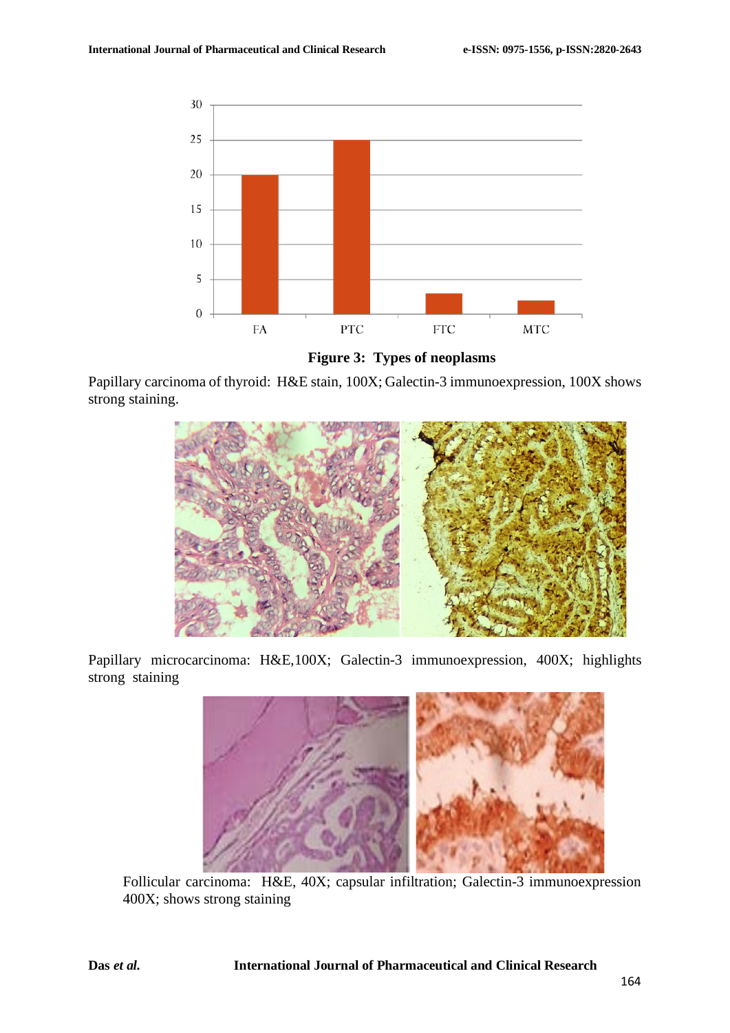

**Figure 3: Types of neoplasms**

Papillary carcinoma of thyroid: H&E stain, 100X; Galectin-3 immunoexpression, 100X shows strong staining.



Papillary microcarcinoma: H&E,100X; Galectin-3 immunoexpression, 400X; highlights strong staining



Follicular carcinoma: H&E, 40X; capsular infiltration; Galectin-3 immunoexpression 400X; shows strong staining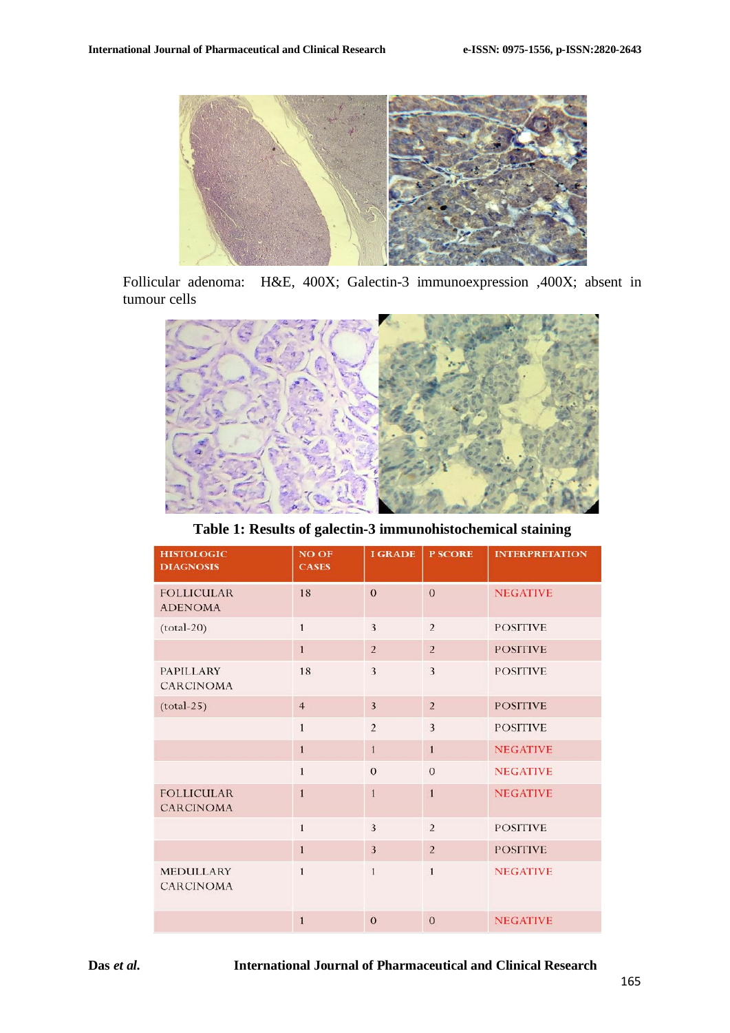

Follicular adenoma: H&E, 400X; Galectin-3 immunoexpression ,400X; absent in tumour cells



**Table 1: Results of galectin-3 immunohistochemical staining**

| <b>HISTOLOGIC</b><br><b>DIAGNOSIS</b> | <b>NO OF</b><br><b>CASES</b> | <b>I GRADE</b> | <b>P SCORE</b> | <b>INTERPRETATION</b> |
|---------------------------------------|------------------------------|----------------|----------------|-----------------------|
| <b>FOLLICULAR</b><br><b>ADENOMA</b>   | 18                           | $\theta$       | $\overline{0}$ | <b>NEGATIVE</b>       |
| $(total-20)$                          | $\overline{1}$               | 3              | $\overline{2}$ | <b>POSITIVE</b>       |
|                                       | $\mathbf{1}$                 | $\overline{2}$ | $\overline{2}$ | <b>POSITIVE</b>       |
| <b>PAPILLARY</b><br><b>CARCINOMA</b>  | 18                           | 3              | 3              | <b>POSITIVE</b>       |
| $(total-25)$                          | $\overline{4}$               | 3              | $\overline{2}$ | <b>POSITIVE</b>       |
|                                       | $\mathbf{1}$                 | $\overline{2}$ | 3              | <b>POSITIVE</b>       |
|                                       | $\mathbf{1}$                 | $\mathbf{1}$   | $\mathbf{1}$   | <b>NEGATIVE</b>       |
|                                       | $\mathbf{1}$                 | $\overline{O}$ | $\overline{0}$ | <b>NEGATIVE</b>       |
| <b>FOLLICULAR</b><br><b>CARCINOMA</b> | $\mathbf{1}$                 | $\mathbf{1}$   | $\mathbf{1}$   | <b>NEGATIVE</b>       |
|                                       | $\mathbf{1}$                 | 3              | $\overline{2}$ | <b>POSITIVE</b>       |
|                                       | $\mathbf{1}$                 | $\overline{3}$ | $\overline{2}$ | <b>POSITIVE</b>       |
| <b>MEDULLARY</b><br><b>CARCINOMA</b>  | $\mathbf{1}$                 | $\mathbf{1}$   | $\mathbf{1}$   | <b>NEGATIVE</b>       |
|                                       | $\mathbf{1}$                 | $\Omega$       | $\overline{0}$ | <b>NEGATIVE</b>       |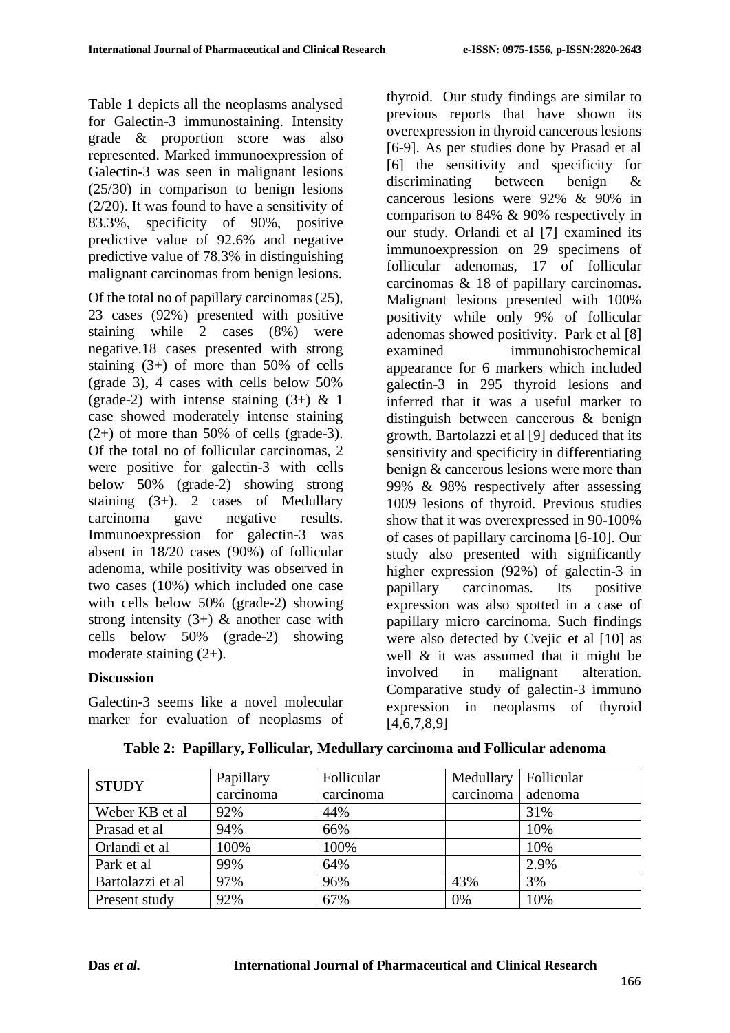Table 1 depicts all the neoplasms analysed for Galectin-3 immunostaining. Intensity grade & proportion score was also represented. Marked immunoexpression of Galectin-3 was seen in malignant lesions (25/30) in comparison to benign lesions (2/20). It was found to have a sensitivity of 83.3%, specificity of 90%, positive predictive value of 92.6% and negative predictive value of 78.3% in distinguishing malignant carcinomas from benign lesions.

Of the total no of papillary carcinomas (25), 23 cases (92%) presented with positive staining while 2 cases (8%) were negative.18 cases presented with strong staining (3+) of more than 50% of cells (grade 3), 4 cases with cells below 50% (grade-2) with intense staining  $(3+)$  & 1 case showed moderately intense staining  $(2+)$  of more than 50% of cells (grade-3). Of the total no of follicular carcinomas, 2 were positive for galectin-3 with cells below 50% (grade-2) showing strong staining (3+). 2 cases of Medullary carcinoma gave negative results. Immunoexpression for galectin-3 was absent in 18/20 cases (90%) of follicular adenoma, while positivity was observed in two cases (10%) which included one case with cells below 50% (grade-2) showing strong intensity  $(3+)$  & another case with cells below 50% (grade-2) showing moderate staining (2+).

### **Discussion**

Galectin-3 seems like a novel molecular marker for evaluation of neoplasms of

thyroid. Our study findings are similar to previous reports that have shown its overexpression in thyroid cancerous lesions [6-9]. As per studies done by Prasad et al [6] the sensitivity and specificity for discriminating between benign  $\&$ discriminating between benign & cancerous lesions were 92% & 90% in comparison to 84% & 90% respectively in our study. Orlandi et al [7] examined its immunoexpression on 29 specimens of follicular adenomas, 17 of follicular carcinomas & 18 of papillary carcinomas. Malignant lesions presented with 100% positivity while only 9% of follicular adenomas showed positivity. Park et al [8] examined immunohistochemical appearance for 6 markers which included galectin-3 in 295 thyroid lesions and inferred that it was a useful marker to distinguish between cancerous & benign growth. Bartolazzi et al [9] deduced that its sensitivity and specificity in differentiating benign & cancerous lesions were more than 99% & 98% respectively after assessing 1009 lesions of thyroid. Previous studies show that it was overexpressed in 90-100% of cases of papillary carcinoma [6-10]. Our study also presented with significantly higher expression (92%) of galectin-3 in papillary carcinomas. Its positive expression was also spotted in a case of papillary micro carcinoma. Such findings were also detected by Cvejic et al [10] as well & it was assumed that it might be involved in malignant alteration. Comparative study of galectin-3 immuno expression in neoplasms of thyroid [4,6,7,8,9]

| <b>STUDY</b>     | Papillary | Follicular | Medullary | Follicular |
|------------------|-----------|------------|-----------|------------|
|                  | carcinoma | carcinoma  | carcinoma | adenoma    |
| Weber KB et al   | 92%       | 44%        |           | 31%        |
| Prasad et al     | 94%       | 66%        |           | 10%        |
| Orlandi et al    | 100%      | 100%       |           | 10%        |
| Park et al       | 99%       | 64%        |           | 2.9%       |
| Bartolazzi et al | 97%       | 96%        | 43%       | 3%         |
| Present study    | 92%       | 67%        | 0%        | 10%        |

# **Table 2: Papillary, Follicular, Medullary carcinoma and Follicular adenoma**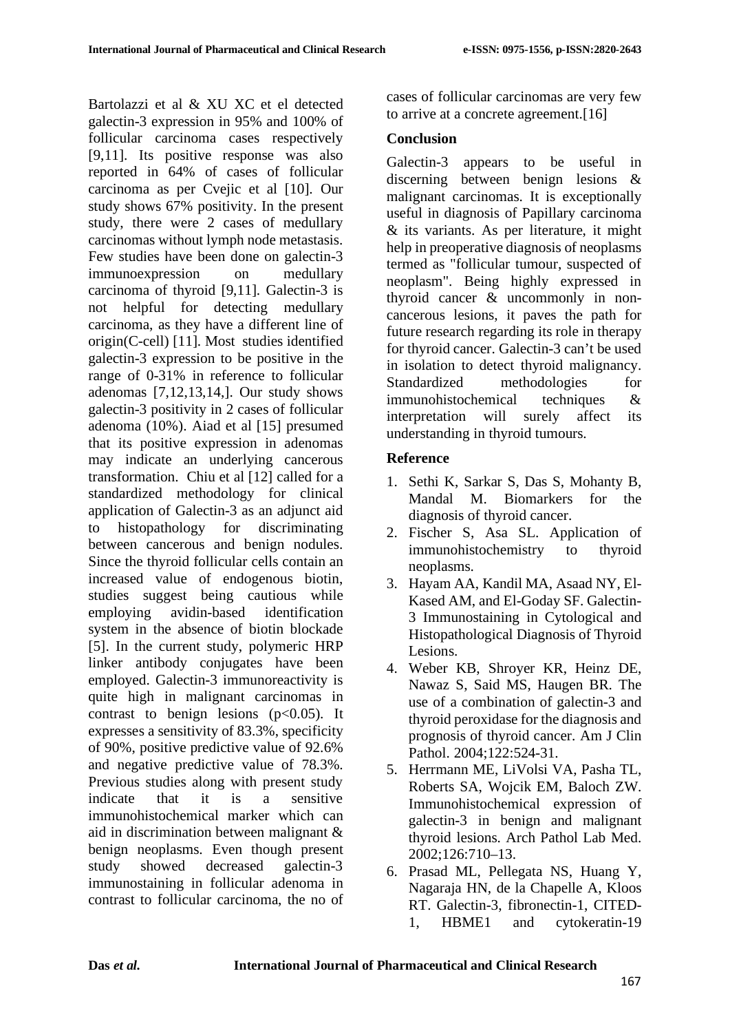Bartolazzi et al & XU XC et el detected galectin-3 expression in 95% and 100% of follicular carcinoma cases respectively [9,11]. Its positive response was also reported in 64% of cases of follicular carcinoma as per Cvejic et al [10]. Our study shows 67% positivity. In the present study, there were 2 cases of medullary carcinomas without lymph node metastasis. Few studies have been done on galectin-3 immunoexpression on medullary carcinoma of thyroid [9,11]. Galectin-3 is not helpful for detecting medullary carcinoma, as they have a different line of origin(C-cell) [11]. Most studies identified galectin-3 expression to be positive in the range of 0-31% in reference to follicular adenomas [7,12,13,14,]. Our study shows galectin-3 positivity in 2 cases of follicular adenoma (10%). Aiad et al [15] presumed that its positive expression in adenomas may indicate an underlying cancerous transformation. Chiu et al [12] called for a standardized methodology for clinical application of Galectin-3 as an adjunct aid to histopathology for discriminating between cancerous and benign nodules. Since the thyroid follicular cells contain an increased value of endogenous biotin, studies suggest being cautious while employing avidin-based identification system in the absence of biotin blockade [5]. In the current study, polymeric HRP linker antibody conjugates have been employed. Galectin-3 immunoreactivity is quite high in malignant carcinomas in contrast to benign lesions  $(p<0.05)$ . It expresses a sensitivity of 83.3%, specificity of 90%, positive predictive value of 92.6% and negative predictive value of 78.3%. Previous studies along with present study indicate that it is a sensitive immunohistochemical marker which can aid in discrimination between malignant & benign neoplasms. Even though present study showed decreased galectin-3 immunostaining in follicular adenoma in contrast to follicular carcinoma, the no of

cases of follicular carcinomas are very few to arrive at a concrete agreement.<sup>[16]</sup>

# **Conclusion**

Galectin-3 appears to be useful in discerning between benign lesions & malignant carcinomas. It is exceptionally useful in diagnosis of Papillary carcinoma & its variants. As per literature, it might help in preoperative diagnosis of neoplasms termed as "follicular tumour, suspected of neoplasm". Being highly expressed in thyroid cancer & uncommonly in noncancerous lesions, it paves the path for future research regarding its role in therapy for thyroid cancer. Galectin-3 can't be used in isolation to detect thyroid malignancy. Standardized methodologies for immunohistochemical techniques & interpretation will surely affect its understanding in thyroid tumours.

# **Reference**

- 1. Sethi K, Sarkar S, Das S, Mohanty B, Mandal M. Biomarkers for the diagnosis of thyroid cancer.
- 2. Fischer S, Asa SL. Application of immunohistochemistry to thyroid neoplasms.
- 3. Hayam AA, Kandil MA, Asaad NY, El-Kased AM, and El-Goday SF. Galectin-3 Immunostaining in Cytological and Histopathological Diagnosis of Thyroid Lesions.
- 4. Weber KB, Shroyer KR, Heinz DE, Nawaz S, Said MS, Haugen BR. The use of a combination of galectin-3 and thyroid peroxidase for the diagnosis and prognosis of thyroid cancer. Am J Clin Pathol. 2004;122:524-31.
- 5. Herrmann ME, LiVolsi VA, Pasha TL, Roberts SA, Wojcik EM, Baloch ZW. Immunohistochemical expression of galectin-3 in benign and malignant thyroid lesions. Arch Pathol Lab Med. 2002;126:710–13.
- 6. Prasad ML, Pellegata NS, Huang Y, Nagaraja HN, de la Chapelle A, Kloos RT. Galectin-3, fibronectin-1, CITED-1, HBME1 and cytokeratin-19